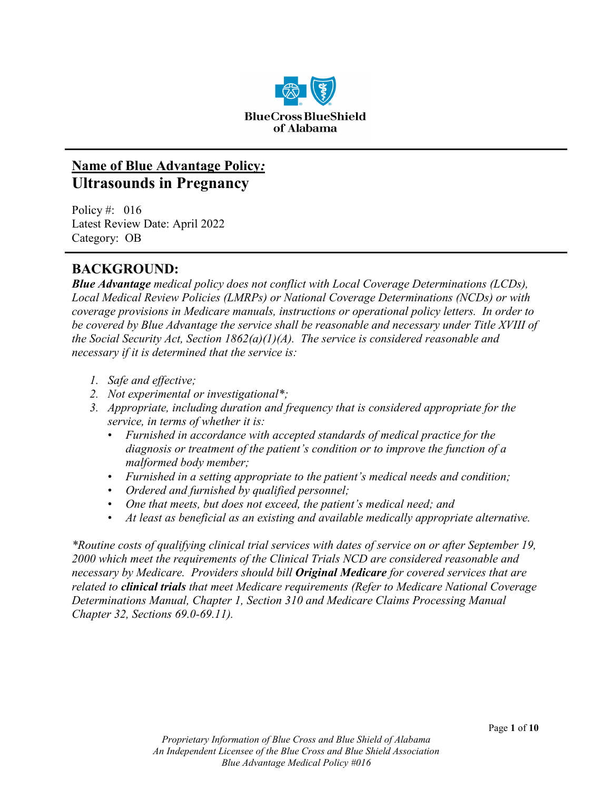

# **Name of Blue Advantage Policy***:* **Ultrasounds in Pregnancy**

Policy #: 016 Latest Review Date: April 2022 Category: OB

## **BACKGROUND:**

*Blue Advantage medical policy does not conflict with Local Coverage Determinations (LCDs), Local Medical Review Policies (LMRPs) or National Coverage Determinations (NCDs) or with coverage provisions in Medicare manuals, instructions or operational policy letters. In order to be covered by Blue Advantage the service shall be reasonable and necessary under Title XVIII of the Social Security Act, Section 1862(a)(1)(A). The service is considered reasonable and necessary if it is determined that the service is:*

- *1. Safe and effective;*
- *2. Not experimental or investigational\*;*
- *3. Appropriate, including duration and frequency that is considered appropriate for the service, in terms of whether it is:*
	- *Furnished in accordance with accepted standards of medical practice for the diagnosis or treatment of the patient's condition or to improve the function of a malformed body member;*
	- *Furnished in a setting appropriate to the patient's medical needs and condition;*
	- *Ordered and furnished by qualified personnel;*
	- *One that meets, but does not exceed, the patient's medical need; and*
	- *At least as beneficial as an existing and available medically appropriate alternative.*

*\*Routine costs of qualifying clinical trial services with dates of service on or after September 19, 2000 which meet the requirements of the Clinical Trials NCD are considered reasonable and necessary by Medicare. Providers should bill Original Medicare for covered services that are related to clinical trials that meet Medicare requirements (Refer to Medicare National Coverage Determinations Manual, Chapter 1, Section 310 and Medicare Claims Processing Manual Chapter 32, Sections 69.0-69.11).*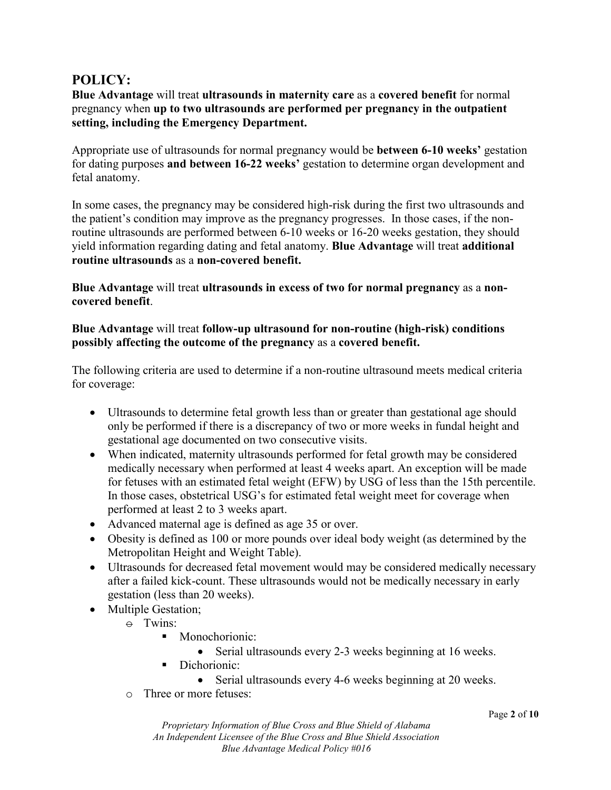## **POLICY:**

**Blue Advantage** will treat **ultrasounds in maternity care** as a **covered benefit** for normal pregnancy when **up to two ultrasounds are performed per pregnancy in the outpatient setting, including the Emergency Department.**

Appropriate use of ultrasounds for normal pregnancy would be **between 6-10 weeks'** gestation for dating purposes **and between 16-22 weeks'** gestation to determine organ development and fetal anatomy.

In some cases, the pregnancy may be considered high-risk during the first two ultrasounds and the patient's condition may improve as the pregnancy progresses. In those cases, if the nonroutine ultrasounds are performed between 6-10 weeks or 16-20 weeks gestation, they should yield information regarding dating and fetal anatomy. **Blue Advantage** will treat **additional routine ultrasounds** as a **non-covered benefit.**

**Blue Advantage** will treat **ultrasounds in excess of two for normal pregnancy** as a **noncovered benefit**.

#### **Blue Advantage** will treat **follow-up ultrasound for non-routine (high-risk) conditions possibly affecting the outcome of the pregnancy** as a **covered benefit.**

The following criteria are used to determine if a non-routine ultrasound meets medical criteria for coverage:

- Ultrasounds to determine fetal growth less than or greater than gestational age should only be performed if there is a discrepancy of two or more weeks in fundal height and gestational age documented on two consecutive visits.
- When indicated, maternity ultrasounds performed for fetal growth may be considered medically necessary when performed at least 4 weeks apart. An exception will be made for fetuses with an estimated fetal weight (EFW) by USG of less than the 15th percentile. In those cases, obstetrical USG's for estimated fetal weight meet for coverage when performed at least 2 to 3 weeks apart.
- Advanced maternal age is defined as age 35 or over.
- Obesity is defined as 100 or more pounds over ideal body weight (as determined by the Metropolitan Height and Weight Table).
- Ultrasounds for decreased fetal movement would may be considered medically necessary after a failed kick-count. These ultrasounds would not be medically necessary in early gestation (less than 20 weeks).
- Multiple Gestation;
	- $\div$  Twins:
		- **Monochorionic:** 
			- Serial ultrasounds every 2-3 weeks beginning at 16 weeks.
		- Dichorionic:
			- Serial ultrasounds every 4-6 weeks beginning at 20 weeks.
	- o Three or more fetuses: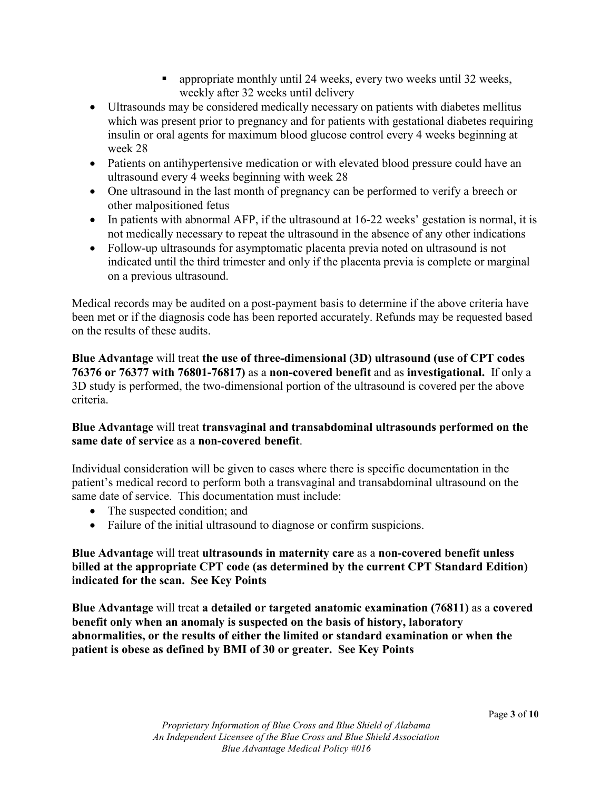- **Example 1** appropriate monthly until 24 weeks, every two weeks until 32 weeks, weekly after 32 weeks until delivery
- Ultrasounds may be considered medically necessary on patients with diabetes mellitus which was present prior to pregnancy and for patients with gestational diabetes requiring insulin or oral agents for maximum blood glucose control every 4 weeks beginning at week 28
- Patients on antihypertensive medication or with elevated blood pressure could have an ultrasound every 4 weeks beginning with week 28
- One ultrasound in the last month of pregnancy can be performed to verify a breech or other malpositioned fetus
- In patients with abnormal AFP, if the ultrasound at 16-22 weeks' gestation is normal, it is not medically necessary to repeat the ultrasound in the absence of any other indications
- Follow-up ultrasounds for asymptomatic placenta previa noted on ultrasound is not indicated until the third trimester and only if the placenta previa is complete or marginal on a previous ultrasound.

Medical records may be audited on a post-payment basis to determine if the above criteria have been met or if the diagnosis code has been reported accurately. Refunds may be requested based on the results of these audits.

**Blue Advantage** will treat **the use of three-dimensional (3D) ultrasound (use of CPT codes 76376 or 76377 with 76801-76817)** as a **non-covered benefit** and as **investigational.** If only a 3D study is performed, the two-dimensional portion of the ultrasound is covered per the above criteria.

### **Blue Advantage** will treat **transvaginal and transabdominal ultrasounds performed on the same date of service** as a **non-covered benefit**.

Individual consideration will be given to cases where there is specific documentation in the patient's medical record to perform both a transvaginal and transabdominal ultrasound on the same date of service. This documentation must include:

- The suspected condition; and
- Failure of the initial ultrasound to diagnose or confirm suspicions.

**Blue Advantage** will treat **ultrasounds in maternity care** as a **non-covered benefit unless billed at the appropriate CPT code (as determined by the current CPT Standard Edition) indicated for the scan. See Key Points**

**Blue Advantage** will treat **a detailed or targeted anatomic examination (76811)** as a **covered benefit only when an anomaly is suspected on the basis of history, laboratory abnormalities, or the results of either the limited or standard examination or when the patient is obese as defined by BMI of 30 or greater. See Key Points**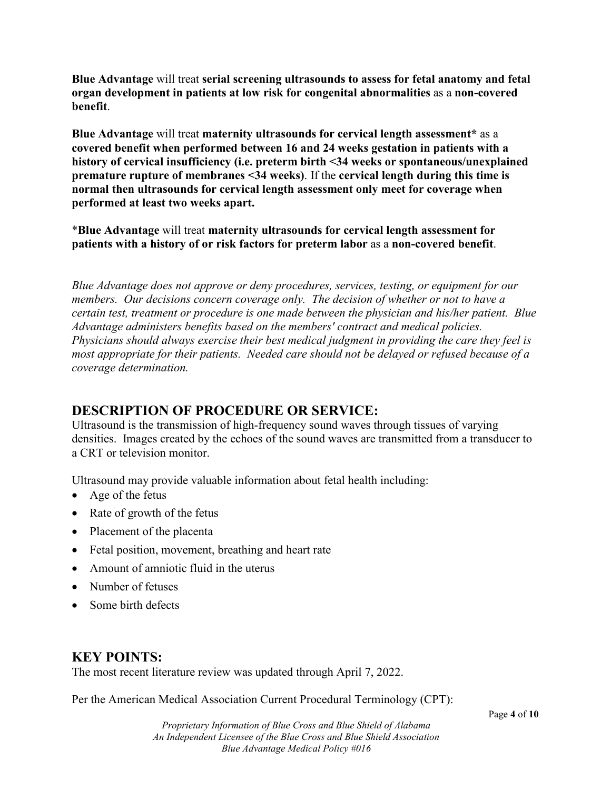**Blue Advantage** will treat **serial screening ultrasounds to assess for fetal anatomy and fetal organ development in patients at low risk for congenital abnormalities** as a **non-covered benefit**.

**Blue Advantage** will treat **maternity ultrasounds for cervical length assessment\*** as a **covered benefit when performed between 16 and 24 weeks gestation in patients with a history of cervical insufficiency (i.e. preterm birth <34 weeks or spontaneous/unexplained premature rupture of membranes <34 weeks)**. If the **cervical length during this time is normal then ultrasounds for cervical length assessment only meet for coverage when performed at least two weeks apart.**

\***Blue Advantage** will treat **maternity ultrasounds for cervical length assessment for patients with a history of or risk factors for preterm labor** as a **non-covered benefit**.

*Blue Advantage does not approve or deny procedures, services, testing, or equipment for our members. Our decisions concern coverage only. The decision of whether or not to have a certain test, treatment or procedure is one made between the physician and his/her patient. Blue Advantage administers benefits based on the members' contract and medical policies. Physicians should always exercise their best medical judgment in providing the care they feel is most appropriate for their patients. Needed care should not be delayed or refused because of a coverage determination.*

# **DESCRIPTION OF PROCEDURE OR SERVICE:**

Ultrasound is the transmission of high-frequency sound waves through tissues of varying densities. Images created by the echoes of the sound waves are transmitted from a transducer to a CRT or television monitor.

Ultrasound may provide valuable information about fetal health including:

- Age of the fetus
- Rate of growth of the fetus
- Placement of the placenta
- Fetal position, movement, breathing and heart rate
- Amount of amniotic fluid in the uterus
- Number of fetuses
- Some birth defects

## **KEY POINTS:**

The most recent literature review was updated through April 7, 2022.

Per the American Medical Association Current Procedural Terminology (CPT):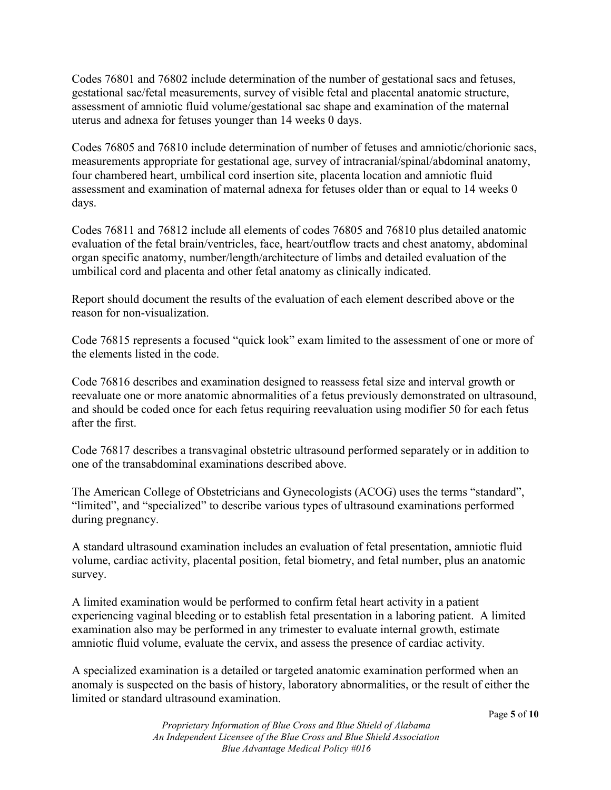Codes 76801 and 76802 include determination of the number of gestational sacs and fetuses, gestational sac/fetal measurements, survey of visible fetal and placental anatomic structure, assessment of amniotic fluid volume/gestational sac shape and examination of the maternal uterus and adnexa for fetuses younger than 14 weeks 0 days.

Codes 76805 and 76810 include determination of number of fetuses and amniotic/chorionic sacs, measurements appropriate for gestational age, survey of intracranial/spinal/abdominal anatomy, four chambered heart, umbilical cord insertion site, placenta location and amniotic fluid assessment and examination of maternal adnexa for fetuses older than or equal to 14 weeks 0 days.

Codes 76811 and 76812 include all elements of codes 76805 and 76810 plus detailed anatomic evaluation of the fetal brain/ventricles, face, heart/outflow tracts and chest anatomy, abdominal organ specific anatomy, number/length/architecture of limbs and detailed evaluation of the umbilical cord and placenta and other fetal anatomy as clinically indicated.

Report should document the results of the evaluation of each element described above or the reason for non-visualization.

Code 76815 represents a focused "quick look" exam limited to the assessment of one or more of the elements listed in the code.

Code 76816 describes and examination designed to reassess fetal size and interval growth or reevaluate one or more anatomic abnormalities of a fetus previously demonstrated on ultrasound, and should be coded once for each fetus requiring reevaluation using modifier 50 for each fetus after the first.

Code 76817 describes a transvaginal obstetric ultrasound performed separately or in addition to one of the transabdominal examinations described above.

The American College of Obstetricians and Gynecologists (ACOG) uses the terms "standard", "limited", and "specialized" to describe various types of ultrasound examinations performed during pregnancy.

A standard ultrasound examination includes an evaluation of fetal presentation, amniotic fluid volume, cardiac activity, placental position, fetal biometry, and fetal number, plus an anatomic survey.

A limited examination would be performed to confirm fetal heart activity in a patient experiencing vaginal bleeding or to establish fetal presentation in a laboring patient. A limited examination also may be performed in any trimester to evaluate internal growth, estimate amniotic fluid volume, evaluate the cervix, and assess the presence of cardiac activity.

A specialized examination is a detailed or targeted anatomic examination performed when an anomaly is suspected on the basis of history, laboratory abnormalities, or the result of either the limited or standard ultrasound examination.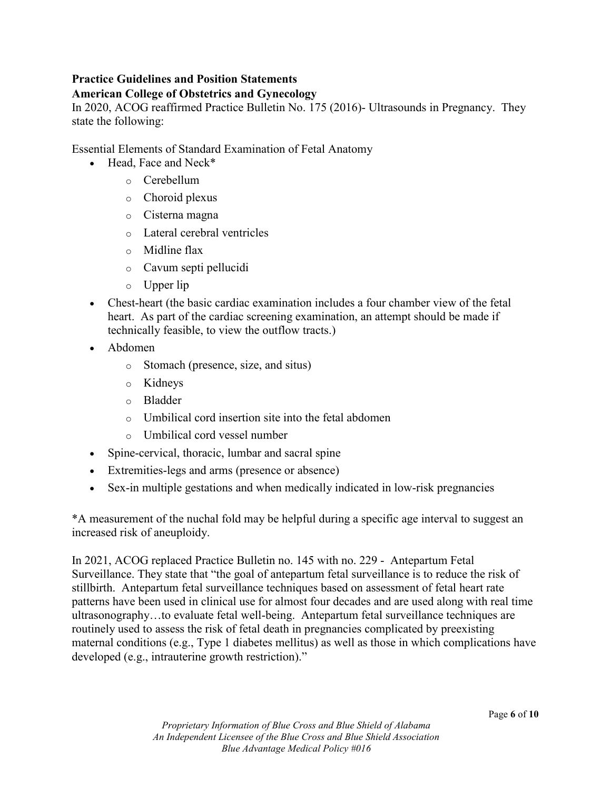### **Practice Guidelines and Position Statements**

#### **American College of Obstetrics and Gynecology**

In 2020, ACOG reaffirmed Practice Bulletin No. 175 (2016)- Ultrasounds in Pregnancy. They state the following:

Essential Elements of Standard Examination of Fetal Anatomy

- Head, Face and Neck\*
	- o Cerebellum
	- o Choroid plexus
	- o Cisterna magna
	- o Lateral cerebral ventricles
	- o Midline flax
	- o Cavum septi pellucidi
	- o Upper lip
- Chest-heart (the basic cardiac examination includes a four chamber view of the fetal heart. As part of the cardiac screening examination, an attempt should be made if technically feasible, to view the outflow tracts.)
- Abdomen
	- o Stomach (presence, size, and situs)
	- o Kidneys
	- o Bladder
	- o Umbilical cord insertion site into the fetal abdomen
	- o Umbilical cord vessel number
- Spine-cervical, thoracic, lumbar and sacral spine
- Extremities-legs and arms (presence or absence)
- Sex-in multiple gestations and when medically indicated in low-risk pregnancies

\*A measurement of the nuchal fold may be helpful during a specific age interval to suggest an increased risk of aneuploidy.

In 2021, ACOG replaced Practice Bulletin no. 145 with no. 229 - Antepartum Fetal Surveillance. They state that "the goal of antepartum fetal surveillance is to reduce the risk of stillbirth. Antepartum fetal surveillance techniques based on assessment of fetal heart rate patterns have been used in clinical use for almost four decades and are used along with real time ultrasonography…to evaluate fetal well-being. Antepartum fetal surveillance techniques are routinely used to assess the risk of fetal death in pregnancies complicated by preexisting maternal conditions (e.g., Type 1 diabetes mellitus) as well as those in which complications have developed (e.g., intrauterine growth restriction)."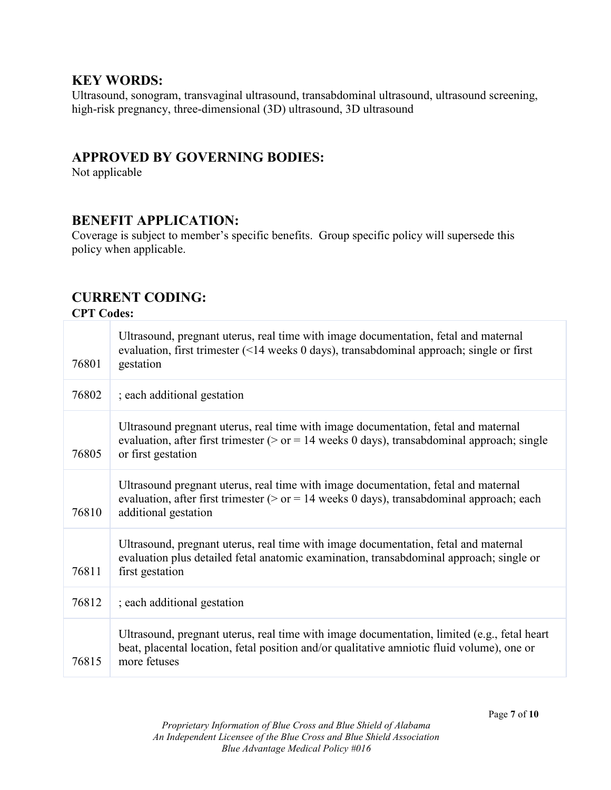### **KEY WORDS:**

Ultrasound, sonogram, transvaginal ultrasound, transabdominal ultrasound, ultrasound screening, high-risk pregnancy, three-dimensional (3D) ultrasound, 3D ultrasound

## **APPROVED BY GOVERNING BODIES:**

Not applicable

### **BENEFIT APPLICATION:**

Coverage is subject to member's specific benefits. Group specific policy will supersede this policy when applicable.

# **CURRENT CODING:**

**CPT Codes:** 

| 76801 | Ultrasound, pregnant uterus, real time with image documentation, fetal and maternal<br>evaluation, first trimester (<14 weeks 0 days), transabdominal approach; single or first<br>gestation               |
|-------|------------------------------------------------------------------------------------------------------------------------------------------------------------------------------------------------------------|
| 76802 | ; each additional gestation                                                                                                                                                                                |
| 76805 | Ultrasound pregnant uterus, real time with image documentation, fetal and maternal<br>evaluation, after first trimester ( $>$ or = 14 weeks 0 days), transabdominal approach; single<br>or first gestation |
| 76810 | Ultrasound pregnant uterus, real time with image documentation, fetal and maternal<br>evaluation, after first trimester ( $>$ or = 14 weeks 0 days), transabdominal approach; each<br>additional gestation |
| 76811 | Ultrasound, pregnant uterus, real time with image documentation, fetal and maternal<br>evaluation plus detailed fetal anatomic examination, transabdominal approach; single or<br>first gestation          |
| 76812 | ; each additional gestation                                                                                                                                                                                |
| 76815 | Ultrasound, pregnant uterus, real time with image documentation, limited (e.g., fetal heart<br>beat, placental location, fetal position and/or qualitative amniotic fluid volume), one or<br>more fetuses  |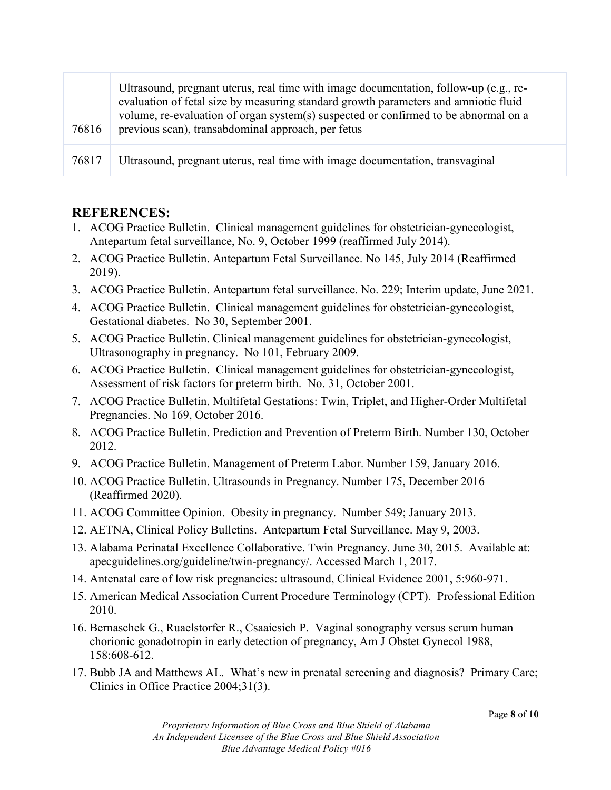| 76816 | Ultrasound, pregnant uterus, real time with image documentation, follow-up (e.g., re-<br>evaluation of fetal size by measuring standard growth parameters and amniotic fluid<br>volume, re-evaluation of organ system(s) suspected or confirmed to be abnormal on a<br>previous scan), transabdominal approach, per fetus |
|-------|---------------------------------------------------------------------------------------------------------------------------------------------------------------------------------------------------------------------------------------------------------------------------------------------------------------------------|
| 76817 | Ultrasound, pregnant uterus, real time with image documentation, transvaginal                                                                                                                                                                                                                                             |

### **REFERENCES:**

- 1. ACOG Practice Bulletin. Clinical management guidelines for obstetrician-gynecologist, Antepartum fetal surveillance, No. 9, October 1999 (reaffirmed July 2014).
- 2. ACOG Practice Bulletin. Antepartum Fetal Surveillance. No 145, July 2014 (Reaffirmed 2019).
- 3. ACOG Practice Bulletin. Antepartum fetal surveillance. No. 229; Interim update, June 2021.
- 4. ACOG Practice Bulletin. Clinical management guidelines for obstetrician-gynecologist, Gestational diabetes. No 30, September 2001.
- 5. ACOG Practice Bulletin. Clinical management guidelines for obstetrician-gynecologist, Ultrasonography in pregnancy. No 101, February 2009.
- 6. ACOG Practice Bulletin. Clinical management guidelines for obstetrician-gynecologist, Assessment of risk factors for preterm birth. No. 31, October 2001.
- 7. ACOG Practice Bulletin. Multifetal Gestations: Twin, Triplet, and Higher-Order Multifetal Pregnancies. No 169, October 2016.
- 8. ACOG Practice Bulletin. Prediction and Prevention of Preterm Birth. Number 130, October 2012.
- 9. ACOG Practice Bulletin. Management of Preterm Labor. Number 159, January 2016.
- 10. ACOG Practice Bulletin. Ultrasounds in Pregnancy. Number 175, December 2016 (Reaffirmed 2020).
- 11. ACOG Committee Opinion. Obesity in pregnancy. Number 549; January 2013.
- 12. AETNA, Clinical Policy Bulletins. Antepartum Fetal Surveillance. May 9, 2003.
- 13. Alabama Perinatal Excellence Collaborative. Twin Pregnancy. June 30, 2015. Available at: apecguidelines.org/guideline/twin-pregnancy/. Accessed March 1, 2017.
- 14. Antenatal care of low risk pregnancies: ultrasound, Clinical Evidence 2001, 5:960-971.
- 15. American Medical Association Current Procedure Terminology (CPT). Professional Edition 2010.
- 16. Bernaschek G., Ruaelstorfer R., Csaaicsich P. Vaginal sonography versus serum human chorionic gonadotropin in early detection of pregnancy, Am J Obstet Gynecol 1988, 158:608-612.
- 17. Bubb JA and Matthews AL. What's new in prenatal screening and diagnosis? Primary Care; Clinics in Office Practice 2004;31(3).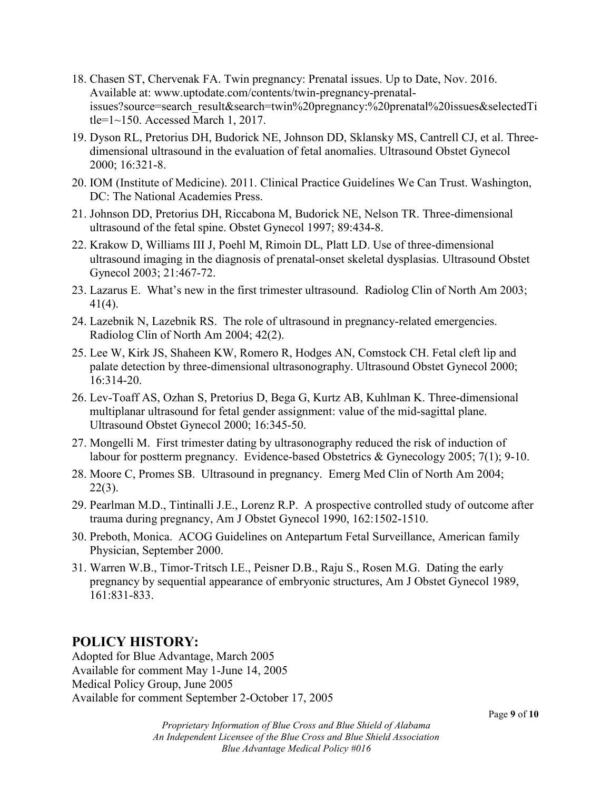- 18. Chasen ST, Chervenak FA. Twin pregnancy: Prenatal issues. Up to Date, Nov. 2016. Available at: www.uptodate.com/contents/twin-pregnancy-prenatalissues?source=search\_result&search=twin%20pregnancy:%20prenatal%20issues&selectedTi tle= $1 \sim 150$ . Accessed March 1, 2017.
- 19. Dyson RL, Pretorius DH, Budorick NE, Johnson DD, Sklansky MS, Cantrell CJ, et al. Threedimensional ultrasound in the evaluation of fetal anomalies. Ultrasound Obstet Gynecol 2000; 16:321-8.
- 20. IOM (Institute of Medicine). 2011. Clinical Practice Guidelines We Can Trust. Washington, DC: The National Academies Press.
- 21. Johnson DD, Pretorius DH, Riccabona M, Budorick NE, Nelson TR. Three-dimensional ultrasound of the fetal spine. Obstet Gynecol 1997; 89:434-8.
- 22. Krakow D, Williams III J, Poehl M, Rimoin DL, Platt LD. Use of three-dimensional ultrasound imaging in the diagnosis of prenatal-onset skeletal dysplasias. Ultrasound Obstet Gynecol 2003; 21:467-72.
- 23. Lazarus E. What's new in the first trimester ultrasound. Radiolog Clin of North Am 2003; 41(4).
- 24. Lazebnik N, Lazebnik RS. The role of ultrasound in pregnancy-related emergencies. Radiolog Clin of North Am 2004; 42(2).
- 25. Lee W, Kirk JS, Shaheen KW, Romero R, Hodges AN, Comstock CH. Fetal cleft lip and palate detection by three-dimensional ultrasonography. Ultrasound Obstet Gynecol 2000; 16:314-20.
- 26. Lev-Toaff AS, Ozhan S, Pretorius D, Bega G, Kurtz AB, Kuhlman K. Three-dimensional multiplanar ultrasound for fetal gender assignment: value of the mid-sagittal plane. Ultrasound Obstet Gynecol 2000; 16:345-50.
- 27. Mongelli M. First trimester dating by ultrasonography reduced the risk of induction of labour for postterm pregnancy. Evidence-based Obstetrics & Gynecology 2005; 7(1); 9-10.
- 28. Moore C, Promes SB. Ultrasound in pregnancy. Emerg Med Clin of North Am 2004; 22(3).
- 29. Pearlman M.D., Tintinalli J.E., Lorenz R.P. A prospective controlled study of outcome after trauma during pregnancy, Am J Obstet Gynecol 1990, 162:1502-1510.
- 30. Preboth, Monica. ACOG Guidelines on Antepartum Fetal Surveillance, American family Physician, September 2000.
- 31. Warren W.B., Timor-Tritsch I.E., Peisner D.B., Raju S., Rosen M.G. Dating the early pregnancy by sequential appearance of embryonic structures, Am J Obstet Gynecol 1989, 161:831-833.

## **POLICY HISTORY:**

Adopted for Blue Advantage, March 2005 Available for comment May 1-June 14, 2005 Medical Policy Group, June 2005 Available for comment September 2-October 17, 2005

*Proprietary Information of Blue Cross and Blue Shield of Alabama An Independent Licensee of the Blue Cross and Blue Shield Association Blue Advantage Medical Policy #016*